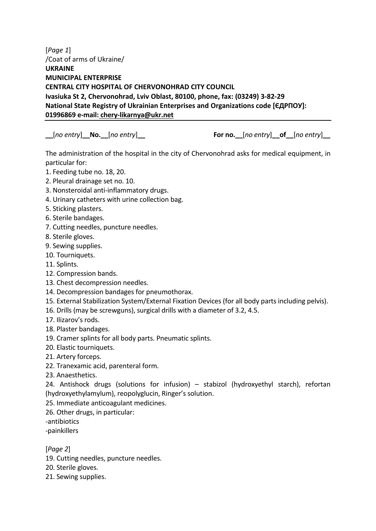[*Page 1*] /Coat of arms of Ukraine/ **UKRAINE MUNICIPAL ENTERPRISE CENTRAL CITY HOSPITAL OF CHERVONOHRAD CITY COUNCIL Ivasiuka St 2, Chervonohrad, Lviv Oblast, 80100, phone, fax: (03249) 3-82-29 National State Registry of Ukrainian Enterprises and Organizations code [ЄДРПОУ]: 01996869 e-mail: chery-likarnya@ukr.net**

[*no entry*] **No.** [*no entry*] *componentry componentry no entry componentry no entry* 

The administration of the hospital in the city of Chervonohrad asks for medical equipment, in particular for:

- 1. Feeding tube no. 18, 20.
- 2. Pleural drainage set no. 10.
- 3. Nonsteroidal anti-inflammatory drugs.
- 4. Urinary catheters with urine collection bag.
- 5. Sticking plasters.
- 6. Sterile bandages.
- 7. Cutting needles, puncture needles.
- 8. Sterile gloves.
- 9. Sewing supplies.
- 10. Tourniquets.
- 11. Splints.
- 12. Compression bands.
- 13. Chest decompression needles.
- 14. Decompression bandages for pneumothorax.
- 15. External Stabilization System/External Fixation Devices (for all body parts including pelvis).
- 16. Drills (may be screwguns), surgical drills with a diameter of 3.2, 4.5.
- 17. Ilizarov's rods.
- 18. Plaster bandages.
- 19. Cramer splints for all body parts. Pneumatic splints.
- 20. Elastic tourniquets.
- 21. Artery forceps.
- 22. Tranexamic acid, parenteral form.
- 23. Anaesthetics.

24. Antishock drugs (solutions for infusion) – stabizol (hydroxyethyl starch), refortan (hydroxyethylamylum), reopolyglucin, Ringer's solution.

- 25. Immediate anticoagulant medicines.
- 26. Other drugs, in particular:

-antibiotics

-painkillers

[*Page 2*]

19. Cutting needles, puncture needles.

20. Sterile gloves.

21. Sewing supplies.